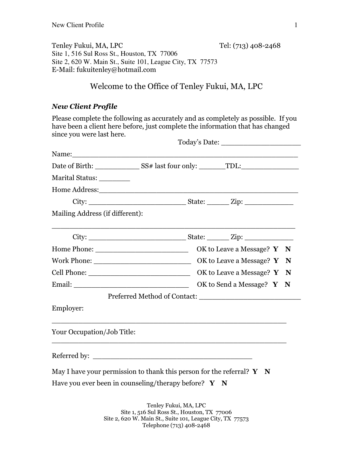Tenley Fukui, MA, LPC Tel: (713) 408-2468 Site 1, 516 Sul Ross St., Houston, TX 77006 Site 2, 620 W. Main St., Suite 101, League City, TX 77573 E-Mail: fukuitenley@hotmail.com

## Welcome to the Office of Tenley Fukui, MA, LPC

#### *New Client Profile*

Please complete the following as accurately and as completely as possible. If you have been a client here before, just complete the information that has changed since you were last here.

| Marital Status: _________       |                                                                                                 |                           |  |  |  |
|---------------------------------|-------------------------------------------------------------------------------------------------|---------------------------|--|--|--|
|                                 | Home Address:                                                                                   |                           |  |  |  |
|                                 |                                                                                                 |                           |  |  |  |
| Mailing Address (if different): |                                                                                                 |                           |  |  |  |
|                                 |                                                                                                 |                           |  |  |  |
|                                 |                                                                                                 |                           |  |  |  |
|                                 |                                                                                                 |                           |  |  |  |
|                                 |                                                                                                 |                           |  |  |  |
|                                 |                                                                                                 | OK to Send a Message? Y N |  |  |  |
|                                 |                                                                                                 |                           |  |  |  |
| Employer:                       |                                                                                                 |                           |  |  |  |
| Your Occupation/Job Title:      |                                                                                                 |                           |  |  |  |
|                                 | Referred by:                                                                                    |                           |  |  |  |
|                                 | May I have your permission to thank this person for the referral? $\mathbf{Y} \quad \mathbf{N}$ |                           |  |  |  |
|                                 | Have you ever been in counseling/therapy before? $Y \times N$                                   |                           |  |  |  |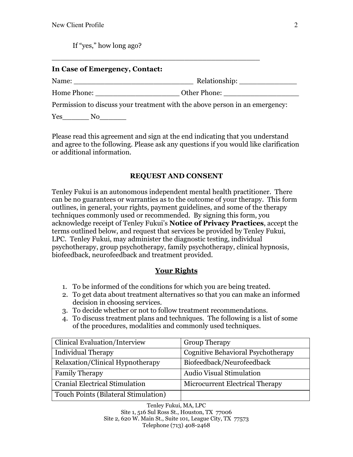If "yes," how long ago?

#### **In Case of Emergency, Contact:**

Name: \_\_\_\_\_\_\_\_\_\_\_\_\_\_\_\_\_\_\_\_\_\_\_\_\_\_\_ Relationship: \_\_\_\_\_\_\_\_\_\_\_\_\_ Home Phone:  $\bullet$  Other Phone:

Permission to discuss your treatment with the above person in an emergency:

 $\_$  . The contract of the contract of the contract of  $\mathcal{L}_1$ 

Yes No

Please read this agreement and sign at the end indicating that you understand and agree to the following. Please ask any questions if you would like clarification or additional information.

## **REQUEST AND CONSENT**

Tenley Fukui is an autonomous independent mental health practitioner. There can be no guarantees or warranties as to the outcome of your therapy. This form outlines, in general, your rights, payment guidelines, and some of the therapy techniques commonly used or recommended. By signing this form, you acknowledge receipt of Tenley Fukui's **Notice of Privacy Practices**, accept the terms outlined below, and request that services be provided by Tenley Fukui, LPC. Tenley Fukui, may administer the diagnostic testing, individual psychotherapy, group psychotherapy, family psychotherapy, clinical hypnosis, biofeedback, neurofeedback and treatment provided.

#### **Your Rights**

- 1. To be informed of the conditions for which you are being treated.
- 2. To get data about treatment alternatives so that you can make an informed decision in choosing services.
- 3. To decide whether or not to follow treatment recommendations.
- 4. To discuss treatment plans and techniques. The following is a list of some of the procedures, modalities and commonly used techniques.

| Clinical Evaluation/Interview        | <b>Group Therapy</b>               |  |  |
|--------------------------------------|------------------------------------|--|--|
| <b>Individual Therapy</b>            | Cognitive Behavioral Psychotherapy |  |  |
| Relaxation/Clinical Hypnotherapy     | Biofeedback/Neurofeedback          |  |  |
| <b>Family Therapy</b>                | <b>Audio Visual Stimulation</b>    |  |  |
| Cranial Electrical Stimulation       | Microcurrent Electrical Therapy    |  |  |
| Touch Points (Bilateral Stimulation) |                                    |  |  |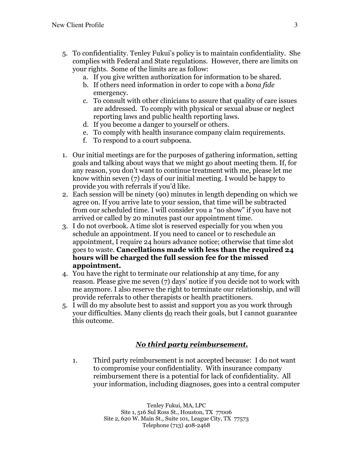- 5. To confidentiality. Tenley Fukui's policy is to maintain confidentiality. She complies with Federal and State regulations. However, there are limits on your rights. Some of the limits are as follow:
	- a. If you give written authorization for information to be shared.
	- b. If others need information in order to cope with a *bona fide* emergency.
	- c. To consult with other clinicians to assure that quality of care issues are addressed. To comply with physical or sexual abuse or neglect reporting laws and public health reporting laws.
	- d. If you become a danger to yourself or others.
	- e. To comply with health insurance company claim requirements.
	- f. To respond to a court subpoena.
- 1. Our initial meetings are for the purposes of gathering information, setting goals and talking about ways that we might go about meeting them. If, for any reason, you don't want to continue treatment with me, please let me know within seven (7) days of our initial meeting. I would be happy to provide you with referrals if you'd like.
- 2. Each session will be ninety (90) minutes in length depending on which we agree on. If you arrive late to your session, that time will be subtracted from our scheduled time. I will consider you a "no show" if you have not arrived or called by 20 minutes past our appointment time.
- 3. I do not overbook. A time slot is reserved especially for you when you schedule an appointment. If you need to cancel or to reschedule an appointment, I require 24 hours advance notice; otherwise that time slot goes to waste. **Cancellations made with less than the required 24 hours will be charged the full session fee for the missed appointment.**
- 4. You have the right to terminate our relationship at any time, for any reason. Please give me seven (7) days' notice if you decide not to work with me anymore. I also reserve the right to terminate our relationship, and will provide referrals to other therapists or health practitioners.
- 5. I will do my absolute best to assist and support you as you work through your difficulties. Many clients do reach their goals, but I cannot guarantee this outcome.

#### *No third party reimbursement.*

1. Third party reimbursement is not accepted because: I do not want to compromise your confidentiality. With insurance company reimbursement there is a potential for lack of confidentiality. All your information, including diagnoses, goes into a central computer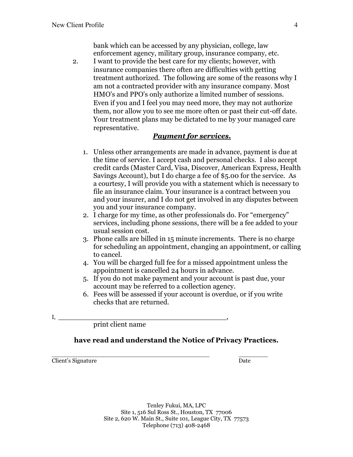bank which can be accessed by any physician, college, law enforcement agency, military group, insurance company, etc.

2. I want to provide the best care for my clients; however, with insurance companies there often are difficulties with getting treatment authorized. The following are some of the reasons why I am not a contracted provider with any insurance company. Most HMO's and PPO's only authorize a limited number of sessions. Even if you and I feel you may need more, they may not authorize them, nor allow you to see me more often or past their cut-off date. Your treatment plans may be dictated to me by your managed care representative.

#### *Payment for services.*

- 1. Unless other arrangements are made in advance, payment is due at the time of service. I accept cash and personal checks. I also accept credit cards (Master Card, Visa, Discover, American Express, Health Savings Account), but I do charge a fee of \$5.00 for the service. As a courtesy, I will provide you with a statement which is necessary to file an insurance claim. Your insurance is a contract between you and your insurer, and I do not get involved in any disputes between you and your insurance company.
- 2. I charge for my time, as other professionals do. For "emergency" services, including phone sessions, there will be a fee added to your usual session cost.
- 3. Phone calls are billed in 15 minute increments. There is no charge for scheduling an appointment, changing an appointment, or calling to cancel.
- 4. You will be charged full fee for a missed appointment unless the appointment is cancelled 24 hours in advance.
- 5. If you do not make payment and your account is past due, your account may be referred to a collection agency.
- 6. Fees will be assessed if your account is overdue, or if you write checks that are returned.
- $I, \underline{\hspace{1cm}} ,$

print client name

#### **have read and understand the Notice of Privacy Practices.**

\_\_\_\_\_\_\_\_\_\_\_\_\_\_\_\_\_\_\_\_\_\_\_\_\_\_\_\_\_\_\_\_\_\_\_\_\_\_\_\_\_\_\_ \_\_\_\_\_\_\_\_ Client's Signature Date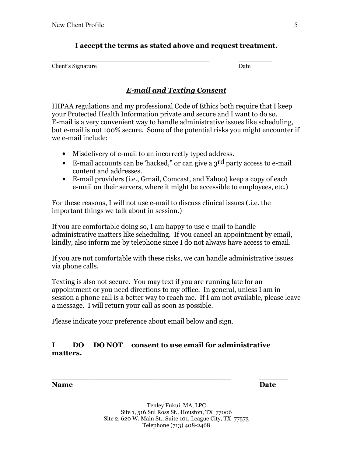## **I accept the terms as stated above and request treatment.**

| Client's Signature | . )ate |
|--------------------|--------|

# *E-mail and Texting Consent*

HIPAA regulations and my professional Code of Ethics both require that I keep your Protected Health Information private and secure and I want to do so. E-mail is a very convenient way to handle administrative issues like scheduling, but e-mail is not 100% secure. Some of the potential risks you might encounter if we e-mail include:

- Misdelivery of e-mail to an incorrectly typed address.
- E-mail accounts can be 'hacked," or can give a  $3<sup>rd</sup>$  party access to e-mail content and addresses.
- E-mail providers (i.e., Gmail, Comcast, and Yahoo) keep a copy of each e-mail on their servers, where it might be accessible to employees, etc.)

For these reasons, I will not use e-mail to discuss clinical issues (.i.e. the important things we talk about in session.)

If you are comfortable doing so, I am happy to use e-mail to handle administrative matters like scheduling. If you cancel an appointment by email, kindly, also inform me by telephone since I do not always have access to email.

If you are not comfortable with these risks, we can handle administrative issues via phone calls.

Texting is also not secure. You may text if you are running late for an appointment or you need directions to my office. In general, unless I am in session a phone call is a better way to reach me. If I am not available, please leave a message. I will return your call as soon as possible.

Please indicate your preference about email below and sign.

## **I DO DO NOT consent to use email for administrative matters.**

**Name** Date

**\_\_\_\_\_\_\_\_\_\_\_\_\_\_\_\_\_\_\_\_\_\_\_\_\_\_\_\_\_\_\_\_\_\_\_\_\_ \_\_\_\_\_\_**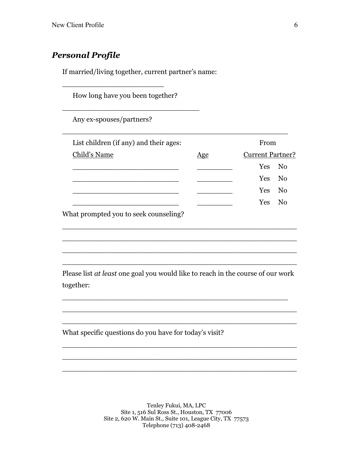# *Personal Profile*

If married/living together, current partner's name:

|              | How long have you been together?                                                |     |  |  |                         |                |  |
|--------------|---------------------------------------------------------------------------------|-----|--|--|-------------------------|----------------|--|
|              | Any ex-spouses/partners?                                                        |     |  |  |                         |                |  |
|              | List children (if any) and their ages:                                          |     |  |  | From                    |                |  |
| Child's Name |                                                                                 | Age |  |  | <b>Current Partner?</b> |                |  |
|              |                                                                                 |     |  |  | Yes                     | N <sub>0</sub> |  |
|              |                                                                                 |     |  |  | Yes                     | N <sub>0</sub> |  |
|              |                                                                                 |     |  |  | Yes                     | No             |  |
|              |                                                                                 |     |  |  | <b>Yes</b>              | No             |  |
| together:    | Please list at least one goal you would like to reach in the course of our work |     |  |  |                         |                |  |
|              |                                                                                 |     |  |  |                         |                |  |
|              |                                                                                 |     |  |  |                         |                |  |
|              | What specific questions do you have for today's visit?                          |     |  |  |                         |                |  |